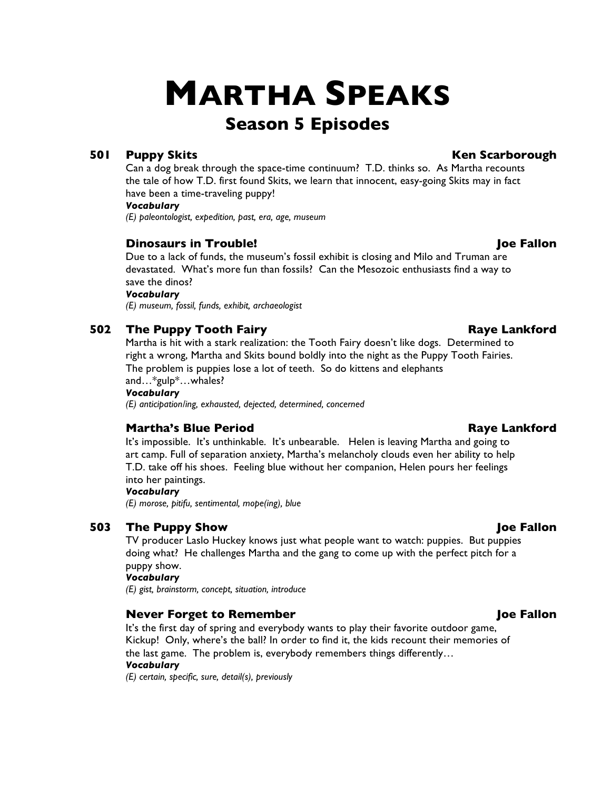# **MARTHA SPEAKS**

## **Season 5 Episodes**

### **501 Puppy Skits Ken Scarborough**

Can a dog break through the space-time continuum? T.D. thinks so. As Martha recounts the tale of how T.D. first found Skits, we learn that innocent, easy-going Skits may in fact have been a time-traveling puppy!

#### *Vocabulary*

*(E) paleontologist, expedition, past, era, age, museum*

### **Dinosaurs in Trouble! Joe Fallon**

Due to a lack of funds, the museum's fossil exhibit is closing and Milo and Truman are devastated. What's more fun than fossils? Can the Mesozoic enthusiasts find a way to save the dinos?

#### *Vocabulary*

*(E) museum, fossil, funds, exhibit, archaeologist*

### **502 The Puppy Tooth Fairy <b>Raye Lankford Raye Lankford**

Martha is hit with a stark realization: the Tooth Fairy doesn't like dogs. Determined to right a wrong, Martha and Skits bound boldly into the night as the Puppy Tooth Fairies. The problem is puppies lose a lot of teeth. So do kittens and elephants and…\*gulp\*…whales?

#### *Vocabulary*

*(E) anticipation/ing, exhausted, dejected, determined, concerned*

### **Martha's Blue Period Raye Lankford**

It's impossible. It's unthinkable. It's unbearable. Helen is leaving Martha and going to art camp. Full of separation anxiety, Martha's melancholy clouds even her ability to help T.D. take off his shoes. Feeling blue without her companion, Helen pours her feelings into her paintings.

#### *Vocabulary*

*(E) morose, pitifu, sentimental, mope(ing), blue*

### **503 The Puppy Show Joe Fallon**

TV producer Laslo Huckey knows just what people want to watch: puppies. But puppies doing what? He challenges Martha and the gang to come up with the perfect pitch for a puppy show.

#### *Vocabulary*

*(E) gist, brainstorm, concept, situation, introduce*

### **Never Forget to Remember Joe Fallon**

It's the first day of spring and everybody wants to play their favorite outdoor game, Kickup! Only, where's the ball? In order to find it, the kids recount their memories of the last game. The problem is, everybody remembers things differently…

#### *Vocabulary*

*(E) certain, specific, sure, detail(s), previously*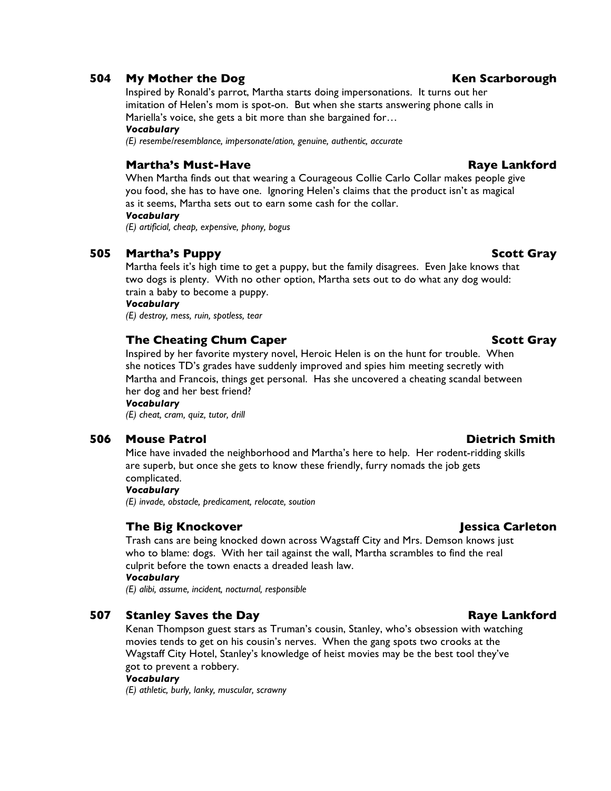### **504 My Mother the Dog Ken Scarborough**

Inspired by Ronald's parrot, Martha starts doing impersonations. It turns out her imitation of Helen's mom is spot-on. But when she starts answering phone calls in Mariella's voice, she gets a bit more than she bargained for…

#### *Vocabulary*

*(E) resembe/resemblance, impersonate/ation, genuine, authentic, accurate*

### **Martha's Must-Have Raye Lankford**

When Martha finds out that wearing a Courageous Collie Carlo Collar makes people give you food, she has to have one. Ignoring Helen's claims that the product isn't as magical as it seems, Martha sets out to earn some cash for the collar.

#### *Vocabulary*

*(E) artificial, cheap, expensive, phony, bogus*

### **505 Martha's Puppy Scott Gray**

Martha feels it's high time to get a puppy, but the family disagrees. Even Jake knows that two dogs is plenty. With no other option, Martha sets out to do what any dog would: train a baby to become a puppy.

#### *Vocabulary*

*(E) destroy, mess, ruin, spotless, tear*

### **The Cheating Chum Caper Scott Gray**

Inspired by her favorite mystery novel, Heroic Helen is on the hunt for trouble. When she notices TD's grades have suddenly improved and spies him meeting secretly with Martha and Francois, things get personal. Has she uncovered a cheating scandal between her dog and her best friend?

#### *Vocabulary*

*(E) cheat, cram, quiz, tutor, drill*

### **506 Mouse Patrol Dietrich Smith**

Mice have invaded the neighborhood and Martha's here to help. Her rodent-ridding skills are superb, but once she gets to know these friendly, furry nomads the job gets complicated.

#### *Vocabulary*

*(E) invade, obstacle, predicament, relocate, soution*

### **The Big Knockover Jessica Carleton**

Trash cans are being knocked down across Wagstaff City and Mrs. Demson knows just who to blame: dogs. With her tail against the wall, Martha scrambles to find the real culprit before the town enacts a dreaded leash law.

### *Vocabulary*

*(E) alibi, assume, incident, nocturnal, responsible*

### **507 Stanley Saves the Day Raye Lankford**

Kenan Thompson guest stars as Truman's cousin, Stanley, who's obsession with watching movies tends to get on his cousin's nerves. When the gang spots two crooks at the Wagstaff City Hotel, Stanley's knowledge of heist movies may be the best tool they've got to prevent a robbery.

#### *Vocabulary*

*(E) athletic, burly, lanky, muscular, scrawny*